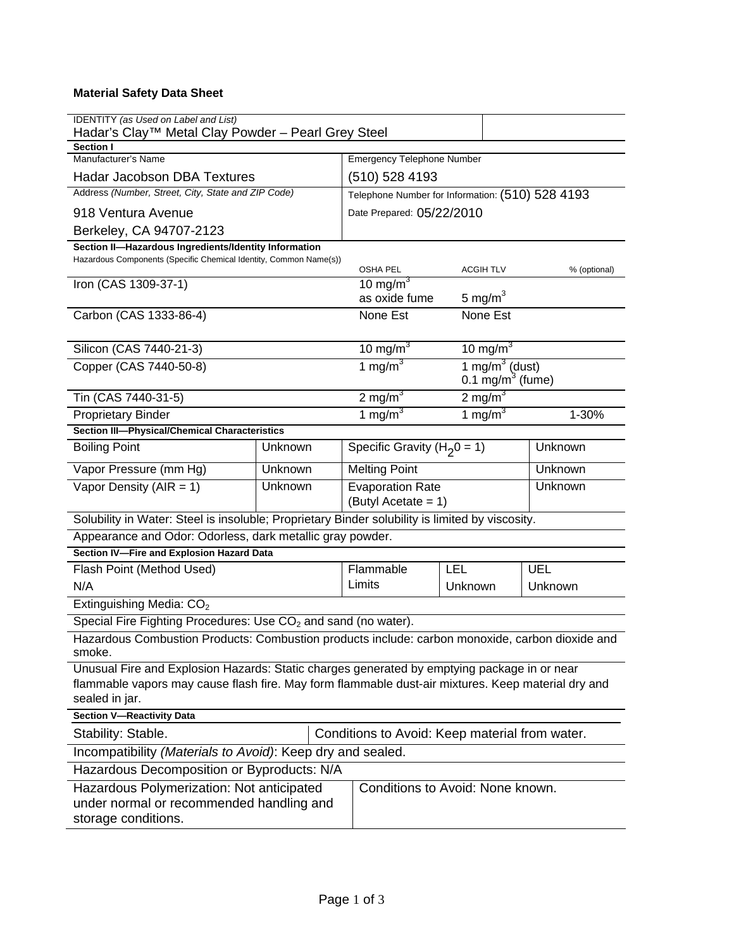# **Material Safety Data Sheet**

| <b>IDENTITY</b> (as Used on Label and List)<br>Hadar's Clay™ Metal Clay Powder - Pearl Grey Steel                                                                                                                   |                      |                                                  |                                  |                                         |         |  |
|---------------------------------------------------------------------------------------------------------------------------------------------------------------------------------------------------------------------|----------------------|--------------------------------------------------|----------------------------------|-----------------------------------------|---------|--|
| <b>Section I</b><br>Manufacturer's Name                                                                                                                                                                             |                      |                                                  |                                  |                                         |         |  |
|                                                                                                                                                                                                                     |                      | <b>Emergency Telephone Number</b>                |                                  |                                         |         |  |
| <b>Hadar Jacobson DBA Textures</b><br>Address (Number, Street, City, State and ZIP Code)                                                                                                                            |                      | (510) 528 4193                                   |                                  |                                         |         |  |
|                                                                                                                                                                                                                     |                      | Telephone Number for Information: (510) 528 4193 |                                  |                                         |         |  |
| 918 Ventura Avenue                                                                                                                                                                                                  |                      | Date Prepared: 05/22/2010                        |                                  |                                         |         |  |
| Berkeley, CA 94707-2123                                                                                                                                                                                             |                      |                                                  |                                  |                                         |         |  |
| Section II-Hazardous Ingredients/Identity Information                                                                                                                                                               |                      |                                                  |                                  |                                         |         |  |
| Hazardous Components (Specific Chemical Identity, Common Name(s))                                                                                                                                                   |                      | <b>OSHA PEL</b>                                  | <b>ACGIH TLV</b><br>% (optional) |                                         |         |  |
| Iron (CAS 1309-37-1)                                                                                                                                                                                                |                      |                                                  | 10 mg/m <sup>3</sup>             |                                         |         |  |
|                                                                                                                                                                                                                     |                      | as oxide fume                                    | 5 mg/ $m3$                       |                                         |         |  |
| Carbon (CAS 1333-86-4)                                                                                                                                                                                              |                      | None Est                                         | None Est                         |                                         |         |  |
|                                                                                                                                                                                                                     |                      |                                                  |                                  |                                         |         |  |
| Silicon (CAS 7440-21-3)                                                                                                                                                                                             | 10 mg/m <sup>3</sup> |                                                  | 10 mg/m $3$                      |                                         |         |  |
| Copper (CAS 7440-50-8)                                                                                                                                                                                              |                      | 1 mg/m $3$                                       |                                  | 1 mg/m $3$ (dust)<br>0.1 $mg/m3$ (fume) |         |  |
| Tin (CAS 7440-31-5)                                                                                                                                                                                                 | 2 mg/m $3$           |                                                  | $2 \text{ mg/m}^3$               |                                         |         |  |
| <b>Proprietary Binder</b>                                                                                                                                                                                           | 1 mg/m $3$           | 1 mg/m $3$                                       |                                  | 1-30%                                   |         |  |
| <b>Section III-Physical/Chemical Characteristics</b>                                                                                                                                                                |                      |                                                  |                                  |                                         |         |  |
| <b>Boiling Point</b>                                                                                                                                                                                                | Unknown              |                                                  | Specific Gravity ( $H_2$ 0 = 1)  |                                         | Unknown |  |
| Vapor Pressure (mm Hg)                                                                                                                                                                                              | Unknown              | <b>Melting Point</b>                             |                                  |                                         | Unknown |  |
| Vapor Density ( $AIR = 1$ )                                                                                                                                                                                         | Unknown              | (Butyl Acetate = 1)                              | <b>Evaporation Rate</b>          |                                         | Unknown |  |
| Solubility in Water: Steel is insoluble; Proprietary Binder solubility is limited by viscosity.                                                                                                                     |                      |                                                  |                                  |                                         |         |  |
| Appearance and Odor: Odorless, dark metallic gray powder.                                                                                                                                                           |                      |                                                  |                                  |                                         |         |  |
| Section IV-Fire and Explosion Hazard Data                                                                                                                                                                           |                      |                                                  |                                  |                                         |         |  |
| Flash Point (Method Used)                                                                                                                                                                                           |                      | Flammable<br>LEL                                 |                                  |                                         | UEL     |  |
| N/A                                                                                                                                                                                                                 |                      | Limits                                           | Unknown                          |                                         | Unknown |  |
| Extinguishing Media: CO <sub>2</sub>                                                                                                                                                                                |                      |                                                  |                                  |                                         |         |  |
| Special Fire Fighting Procedures: Use CO <sub>2</sub> and sand (no water).                                                                                                                                          |                      |                                                  |                                  |                                         |         |  |
| Hazardous Combustion Products: Combustion products include: carbon monoxide, carbon dioxide and                                                                                                                     |                      |                                                  |                                  |                                         |         |  |
| smoke.                                                                                                                                                                                                              |                      |                                                  |                                  |                                         |         |  |
| Unusual Fire and Explosion Hazards: Static charges generated by emptying package in or near<br>flammable vapors may cause flash fire. May form flammable dust-air mixtures. Keep material dry and<br>sealed in jar. |                      |                                                  |                                  |                                         |         |  |
| <b>Section V-Reactivity Data</b>                                                                                                                                                                                    |                      |                                                  |                                  |                                         |         |  |
| Stability: Stable.                                                                                                                                                                                                  |                      | Conditions to Avoid: Keep material from water.   |                                  |                                         |         |  |
| Incompatibility (Materials to Avoid): Keep dry and sealed.                                                                                                                                                          |                      |                                                  |                                  |                                         |         |  |
| Hazardous Decomposition or Byproducts: N/A                                                                                                                                                                          |                      |                                                  |                                  |                                         |         |  |
| Hazardous Polymerization: Not anticipated<br>under normal or recommended handling and<br>storage conditions.                                                                                                        |                      | Conditions to Avoid: None known.                 |                                  |                                         |         |  |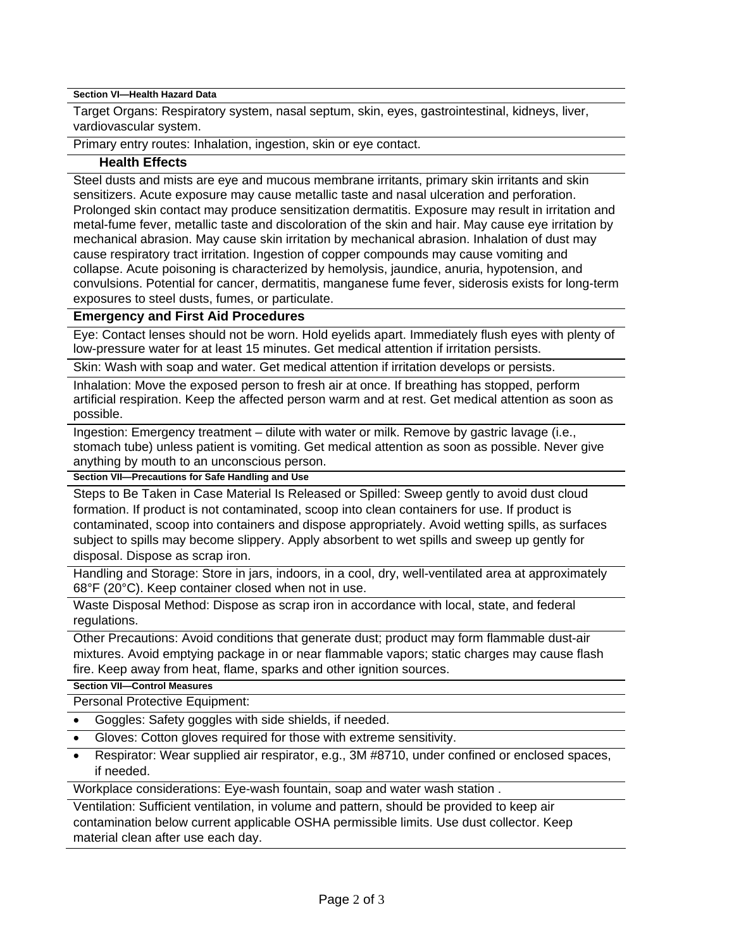**Section VI—Health Hazard Data** 

Target Organs: Respiratory system, nasal septum, skin, eyes, gastrointestinal, kidneys, liver, vardiovascular system.

Primary entry routes: Inhalation, ingestion, skin or eye contact.

#### **Health Effects**

Steel dusts and mists are eye and mucous membrane irritants, primary skin irritants and skin sensitizers. Acute exposure may cause metallic taste and nasal ulceration and perforation. Prolonged skin contact may produce sensitization dermatitis. Exposure may result in irritation and metal-fume fever, metallic taste and discoloration of the skin and hair. May cause eye irritation by mechanical abrasion. May cause skin irritation by mechanical abrasion. Inhalation of dust may cause respiratory tract irritation. Ingestion of copper compounds may cause vomiting and collapse. Acute poisoning is characterized by hemolysis, jaundice, anuria, hypotension, and convulsions. Potential for cancer, dermatitis, manganese fume fever, siderosis exists for long-term exposures to steel dusts, fumes, or particulate.

### **Emergency and First Aid Procedures**

Eye: Contact lenses should not be worn. Hold eyelids apart. Immediately flush eyes with plenty of low-pressure water for at least 15 minutes. Get medical attention if irritation persists.

Skin: Wash with soap and water. Get medical attention if irritation develops or persists.

Inhalation: Move the exposed person to fresh air at once. If breathing has stopped, perform artificial respiration. Keep the affected person warm and at rest. Get medical attention as soon as possible.

Ingestion: Emergency treatment – dilute with water or milk. Remove by gastric lavage (i.e., stomach tube) unless patient is vomiting. Get medical attention as soon as possible. Never give anything by mouth to an unconscious person.

**Section VII—Precautions for Safe Handling and Use** 

Steps to Be Taken in Case Material Is Released or Spilled: Sweep gently to avoid dust cloud formation. If product is not contaminated, scoop into clean containers for use. If product is contaminated, scoop into containers and dispose appropriately. Avoid wetting spills, as surfaces subject to spills may become slippery. Apply absorbent to wet spills and sweep up gently for disposal. Dispose as scrap iron.

Handling and Storage: Store in jars, indoors, in a cool, dry, well-ventilated area at approximately 68°F (20°C). Keep container closed when not in use.

Waste Disposal Method: Dispose as scrap iron in accordance with local, state, and federal regulations.

Other Precautions: Avoid conditions that generate dust; product may form flammable dust-air mixtures. Avoid emptying package in or near flammable vapors; static charges may cause flash fire. Keep away from heat, flame, sparks and other ignition sources.

#### **Section VII—Control Measures**

Personal Protective Equipment:

- Goggles: Safety goggles with side shields, if needed.
- Gloves: Cotton gloves required for those with extreme sensitivity.
- Respirator: Wear supplied air respirator, e.g., 3M #8710, under confined or enclosed spaces, if needed.

Workplace considerations: Eye-wash fountain, soap and water wash station .

Ventilation: Sufficient ventilation, in volume and pattern, should be provided to keep air contamination below current applicable OSHA permissible limits. Use dust collector. Keep material clean after use each day.